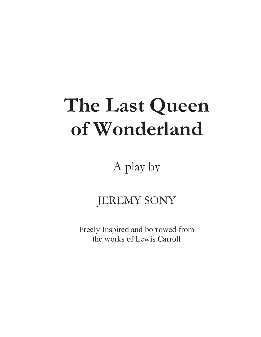# **The Last Queen of Wonderland**

A play by

# JEREMY SONY

Freely Inspired and borrowed from the works of Lewis Carroll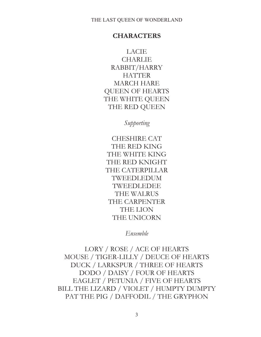# **CHARACTERS**

LACIE CHARLIE RABBIT/HARRY **HATTER** MARCH HARE QUEEN OF HEARTS THE WHITE QUEEN THE RED QUEEN

*Supporting* 

CHESHIRE CAT THE RED KING THE WHITE KING THE RED KNIGHT THE CATERPILLAR TWEEDLEDUM TWEEDLEDEE THE WALRUS THE CARPENTER THE LION THE UNICORN

*Ensemble* 

LORY / ROSE / ACE OF HEARTS MOUSE / TIGER-LILLY / DEUCE OF HEARTS DUCK / LARKSPUR / THREE OF HEARTS DODO / DAISY / FOUR OF HEARTS EAGLET / PETUNIA / FIVE OF HEARTS BILL THE LIZARD / VIOLET / HUMPTY DUMPTY PAT THE PIG / DAFFODIL / THE GRYPHON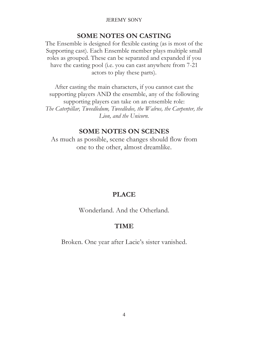# **SOME NOTES ON CASTING**

The Ensemble is designed for flexible casting (as is most of the Supporting cast). Each Ensemble member plays multiple small roles as grouped. These can be separated and expanded if you have the casting pool (i.e. you can cast anywhere from 7-21 actors to play these parts).

After casting the main characters, if you cannot cast the supporting players AND the ensemble, any of the following supporting players can take on an ensemble role: *The Caterpillar, Tweedledum, Tweedledee, the Walrus, the Carpenter, the Lion, and the Unicorn.*

#### **SOME NOTES ON SCENES**

As much as possible, scene changes should flow from one to the other, almost dreamlike.

#### **PLACE**

Wonderland. And the Otherland.

#### **TIME**

Broken. One year after Lacie's sister vanished.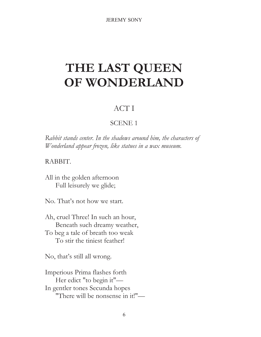# **THE LAST QUEEN OF WONDERLAND**

# ACT I

# SCENE 1

*Rabbit stands center. In the shadows around him, the characters of Wonderland appear frozen, like statues in a wax museum.* 

### RABBIT.

All in the golden afternoon Full leisurely we glide;

No. That's not how we start.

Ah, cruel Three! In such an hour, Beneath such dreamy weather, To beg a tale of breath too weak To stir the tiniest feather!

No, that's still all wrong.

Imperious Prima flashes forth Her edict "to begin it"— In gentler tones Secunda hopes "There will be nonsense in it!"—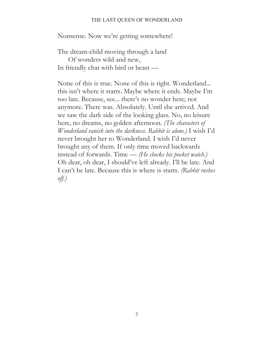#### THE LAST QUEEN OF WONDERLAND

Nonsense. Now we're getting somewhere!

The dream-child moving through a land Of wonders wild and new, In friendly chat with bird or beast —

None of this is true. None of this is right. Wonderland... this isn't where it starts. Maybe where it ends. Maybe I'm too late. Because, see... there's no wonder here; not anymore. There was. Absolutely. Until she arrived. And we saw the dark side of the looking glass. No, no leisure here, no dreams, no golden afternoon. *(The characters of Wonderland vanish into the darkness. Rabbit is alone.)* I wish I'd never brought her to Wonderland. I wish I'd never brought any of them. If only time moved backwards instead of forwards. Time — *(He checks his pocket watch.)*  Oh dear, oh dear, I should've left already. I'll be late. And I can't be late. Because this is where is starts. *(Rabbit rushes off.)*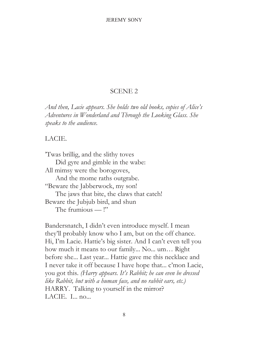#### SCENE 2

*And then, Lacie appears. She holds two old books, copies of Alice's Adventures in Wonderland and Through the Looking Glass. She speaks to the audience.*

#### LACIE.

'Twas brillig, and the slithy toves Did gyre and gimble in the wabe: All mimsy were the borogoves, And the mome raths outgrabe. "Beware the Jabberwock, my son! The jaws that bite, the claws that catch! Beware the Jubjub bird, and shun The frumious — !"

Bandersnatch, I didn't even introduce myself. I mean they'll probably know who I am, but on the off chance. Hi, I'm Lacie. Hattie's big sister. And I can't even tell you how much it means to our family... No... um… Right before she... Last year... Hattie gave me this necklace and I never take it off because I have hope that... c'mon Lacie, you got this. *(Harry appears. It's Rabbit; he can even be dressed like Rabbit, but with a human face, and no rabbit ears, etc.)*  HARRY. Talking to yourself in the mirror? LACIE. I... no...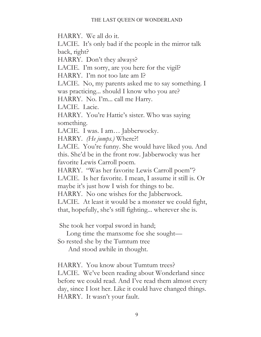HARRY. We all do it.

LACIE. It's only bad if the people in the mirror talk back, right?

HARRY. Don't they always?

LACIE. I'm sorry, are you here for the vigil?

HARRY. I'm not too late am I?

LACIE. No, my parents asked me to say something. I was practicing... should I know who you are?

HARRY. No. I'm... call me Harry.

LACIE. Lacie.

HARRY. You're Hattie's sister. Who was saying something.

LACIE. I was. I am… Jabberwocky.

HARRY. *(He jumps.)* Where?!

LACIE. You're funny. She would have liked you. And this. She'd be in the front row. Jabberwocky was her favorite Lewis Carroll poem.

HARRY. "Was her favorite Lewis Carroll poem"?

LACIE. Is her favorite. I mean, I assume it still is. Or maybe it's just how I wish for things to be.

HARRY. No one wishes for the Jabberwock.

LACIE. At least it would be a monster we could fight, that, hopefully, she's still fighting... wherever she is.

She took her vorpal sword in hand;

Long time the manxome foe she sought—

So rested she by the Tumtum tree

And stood awhile in thought.

HARRY. You know about Tumtum trees?

LACIE. We've been reading about Wonderland since before we could read. And I've read them almost every day, since I lost her. Like it could have changed things. HARRY. It wasn't your fault.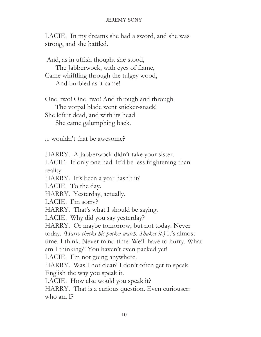LACIE. In my dreams she had a sword, and she was strong, and she battled.

 And, as in uffish thought she stood, The Jabberwock, with eyes of flame, Came whiffling through the tulgey wood, And burbled as it came!

One, two! One, two! And through and through The vorpal blade went snicker-snack! She left it dead, and with its head She came galumphing back.

... wouldn't that be awesome?

HARRY. A Jabberwock didn't take your sister. LACIE. If only one had. It'd be less frightening than reality. HARRY. It's been a year hasn't it? LACIE. To the day. HARRY. Yesterday, actually. LACIE. I'm sorry? HARRY. That's what I should be saying. LACIE. Why did you say yesterday? HARRY. Or maybe tomorrow, but not today. Never today. *(Harry checks his pocket watch. Shakes it.)* It's almost time. I think. Never mind time. We'll have to hurry. What am I thinking?! You haven't even packed yet! LACIE. I'm not going anywhere. HARRY. Was I not clear? I don't often get to speak English the way you speak it. LACIE. How else would you speak it? HARRY. That is a curious question. Even curiouser: who am I?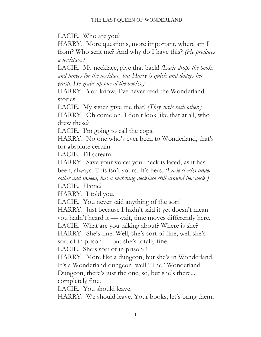LACIE. Who are you?

HARRY. More questions, more important, where am I from? Who sent me? And why do I have this? *(He produces a necklace.)*

LACIE. My necklace, give that back! *(Lacie drops the books and lunges for the necklace, but Harry is quick and dodges her grasp. He grabs up one of the books.)*

HARRY. You know, I've never read the Wonderland stories.

LACIE. My sister gave me that! *(They circle each other.)* HARRY. Oh come on, I don't look like that at all, who drew these?

LACIE. I'm going to call the cops!

HARRY. No one who's ever been to Wonderland, that's for absolute certain.

LACIE. I'll scream.

HARRY. Save your voice; your neck is laced, as it has been, always. This isn't yours. It's hers. *(Lacie checks under collar and indeed, has a matching necklace still around her neck.)*

LACIE. Hattie?

HARRY. I told you.

LACIE. You never said anything of the sort!

HARRY. Just because I hadn't said it yet doesn't mean you hadn't heard it — wait, time moves differently here.

LACIE. What are you talking about? Where is she?!

HARRY. She's fine! Well, she's sort of fine, well she's sort of in prison — but she's totally fine.

LACIE. She's sort of in prison?!

HARRY. More like a dungeon, but she's in Wonderland.

It's a Wonderland dungeon, well "The" Wonderland

Dungeon, there's just the one, so, but she's there...

completely fine.

LACIE. You should leave.

HARRY. We should leave. Your books, let's bring them,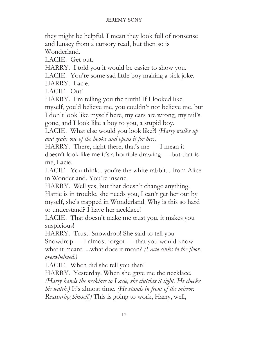they might be helpful. I mean they look full of nonsense and lunacy from a cursory read, but then so is Wonderland.

LACIE. Get out.

HARRY. I told you it would be easier to show you.

LACIE. You're some sad little boy making a sick joke.

HARRY. Lacie.

LACIE. Out!

HARRY. I'm telling you the truth! If I looked like myself, you'd believe me, you couldn't not believe me, but I don't look like myself here, my ears are wrong, my tail's gone, and I look like a boy to you, a stupid boy.

LACIE. What else would you look like?! *(Harry walks up and grabs one of the books and opens it for her.)*

HARRY. There, right there, that's me — I mean it doesn't look like me it's a horrible drawing — but that is me, Lacie.

LACIE. You think... you're the white rabbit... from Alice in Wonderland. You're insane.

HARRY. Well yes, but that doesn't change anything. Hattie is in trouble, she needs you, I can't get her out by myself, she's trapped in Wonderland. Why is this so hard to understand? I have her necklace!

LACIE. That doesn't make me trust you, it makes you suspicious!

HARRY. Trust! Snowdrop! She said to tell you

Snowdrop — I almost forgot — that you would know what it meant. ...what does it mean? *(Lacie sinks to the floor, overwhelmed.)* 

LACIE. When did she tell you that?

HARRY. Yesterday. When she gave me the necklace.

*(Harry hands the necklace to Lacie, she clutches it tight. He checks his watch.)* It's almost time. *(He stands in front of the mirror. Reassuring himself.)* This is going to work, Harry, well,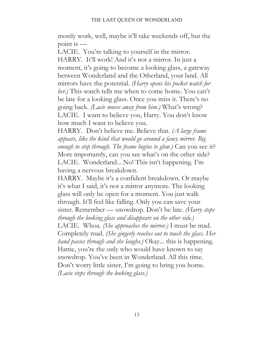mostly work, well, maybe it'll take weekends off, but the point is —

LACIE. You're talking to yourself in the mirror. HARRY. It'll work! And it's not a mirror. In just a moment, it's going to become a looking glass, a gateway between Wonderland and the Otherland, your land. All mirrors have the potential. *(Harry opens his pocket watch for her.)* This watch tells me when to come home. You can't be late for a looking glass. Once you miss it. There's no going back. *(Lacie moves away from him.)* What's wrong? LACIE. I want to believe you, Harry. You don't know how much I want to believe you.

HARRY. Don't believe me. Believe that. *(A large frame appears, like the kind that would go around a fancy mirror. Big enough to step through. The frame begins to glow.)* Can you see it? More importantly, can you see what's on the other side? LACIE. Wonderland... No! This isn't happening. I'm having a nervous breakdown.

HARRY. Maybe it's a confident breakdown. Or maybe it's what I said, it's not a mirror anymore. The looking glass will only be open for a moment. You just walk through. It'll feel like falling. Only you can save your sister. Remember — snowdrop. Don't be late. *(Harry steps through the looking glass and disappears on the other side.)*  LACIE. Whoa. *(She approaches the mirror.)* I must be mad. Completely mad. *(She gingerly reaches out to touch the glass. Her hand passes through and she laughs.)* Okay... this is happening. Hattie, you're the only who would have known to say snowdrop. You've been in Wonderland. All this time. Don't worry little sister, I'm going to bring you home. *(Lacie steps through the looking glass.)*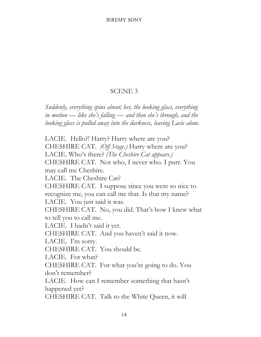# SCENE 3

*Suddenly, everything spins about; her, the looking glass, everything in motion — like she's falling — and then she's through, and the looking glass is pulled away into the darkness, leaving Lacie alone.* 

LACIE. Hello?! Harry? Harry where are you? CHESHIRE CAT. *(Off Stage.)* Harry where are you? LACIE. Who's there? *(The Cheshire Cat appears.)*  CHESHIRE CAT. Not who, I never who. I purr. You may call me Cheshire. LACIE. The Cheshire Cat? CHESHIRE CAT. I suppose since you were so nice to recognize me, you can call me that. Is that my name? LACIE. You just said it was. CHESHIRE CAT. No, you did. That's how I knew what to tell you to call me. LACIE. I hadn't said it yet. CHESHIRE CAT. And you haven't said it now. LACIE. I'm sorry. CHESHIRE CAT. You should be. LACIE. For what? CHESHIRE CAT. For what you're going to do. You don't remember? LACIE. How can I remember something that hasn't happened yet? CHESHIRE CAT. Talk to the White Queen, it will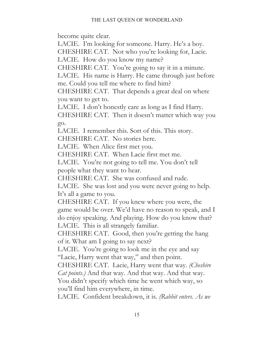become quite clear.

LACIE. I'm looking for someone. Harry. He's a boy.

CHESHIRE CAT. Not who you're looking for, Lacie.

LACIE. How do you know my name?

CHESHIRE CAT. You're going to say it in a minute.

LACIE. His name is Harry. He came through just before me. Could you tell me where to find him?

CHESHIRE CAT. That depends a great deal on where you want to get to.

LACIE. I don't honestly care as long as I find Harry.

CHESHIRE CAT. Then it doesn't matter which way you go.

LACIE. I remember this. Sort of this. This story.

CHESHIRE CAT. No stories here.

LACIE. When Alice first met you.

CHESHIRE CAT. When Lacie first met me.

LACIE. You're not going to tell me. You don't tell people what they want to hear.

CHESHIRE CAT. She was confused and rude.

LACIE. She was lost and you were never going to help. It's all a game to you.

CHESHIRE CAT. If you knew where you were, the game would be over. We'd have no reason to speak, and I do enjoy speaking. And playing. How do you know that? LACIE. This is all strangely familiar.

CHESHIRE CAT. Good, then you're getting the hang of it. What am I going to say next?

LACIE. You're going to look me in the eye and say "Lacie, Harry went that way," and then point.

CHESHIRE CAT. Lacie, Harry went that way. *(Cheshire* 

*Cat points.)* And that way. And that way. And that way.

You didn't specify which time he went which way, so you'll find him everywhere, in time.

LACIE. Confident breakdown, it is. *(Rabbit enters. As we*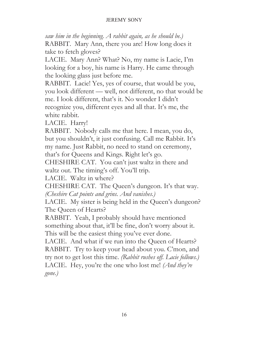*saw him in the beginning. A rabbit again, as he should be.)* RABBIT. Mary Ann, there you are! How long does it take to fetch gloves?

LACIE. Mary Ann? What? No, my name is Lacie, I'm looking for a boy, his name is Harry. He came through the looking glass just before me.

RABBIT. Lacie! Yes, yes of course, that would be you, you look different — well, not different, no that would be me. I look different, that's it. No wonder I didn't recognize you, different eyes and all that. It's me, the white rabbit.

LACIE. Harry!

RABBIT. Nobody calls me that here. I mean, you do, but you shouldn't, it just confusing. Call me Rabbit. It's my name. Just Rabbit, no need to stand on ceremony,

that's for Queens and Kings. Right let's go.

CHESHIRE CAT. You can't just waltz in there and waltz out. The timing's off. You'll trip.

LACIE. Waltz in where?

CHESHIRE CAT. The Queen's dungeon. It's that way. *(Cheshire Cat points and grins. And vanishes.)* 

LACIE. My sister is being held in the Queen's dungeon? The Queen of Hearts?

RABBIT. Yeah, I probably should have mentioned something about that, it'll be fine, don't worry about it. This will be the easiest thing you've ever done.

LACIE. And what if we run into the Queen of Hearts? RABBIT. Try to keep your head about you. C'mon, and try not to get lost this time. *(Rabbit rushes off. Lacie follows.)*  LACIE. Hey, you're the one who lost me! *(And they're gone.)*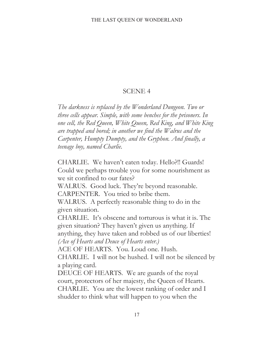# SCENE 4

*The darkness is replaced by the Wonderland Dungeon. Two or three cells appear. Simple, with some benches for the prisoners. In one cell, the Red Queen, White Queen, Red King, and White King are trapped and bored; in another we find the Walrus and the Carpenter, Humpty Dumpty, and the Gryphon. And finally, a teenage boy, named Charlie.* 

CHARLIE. We haven't eaten today. Hello?!! Guards! Could we perhaps trouble you for some nourishment as we sit confined to our fates?

WALRUS. Good luck. They're beyond reasonable. CARPENTER. You tried to bribe them.

WALRUS. A perfectly reasonable thing to do in the given situation.

CHARLIE. It's obscene and torturous is what it is. The given situation? They haven't given us anything. If anything, they have taken and robbed us of our liberties! *(Ace of Hearts and Deuce of Hearts enter.)*

ACE OF HEARTS. You. Loud one. Hush.

CHARLIE. I will not be hushed. I will not be silenced by a playing card.

DEUCE OF HEARTS. We are guards of the royal court, protectors of her majesty, the Queen of Hearts. CHARLIE. You are the lowest ranking of order and I shudder to think what will happen to you when the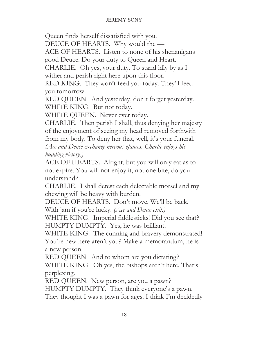Queen finds herself dissatisfied with you.

DEUCE OF HEARTS. Why would the —

ACE OF HEARTS. Listen to none of his shenanigans

good Deuce. Do your duty to Queen and Heart.

CHARLIE. Oh yes, your duty. To stand idly by as I wither and perish right here upon this floor.

RED KING. They won't feed you today. They'll feed you tomorrow.

RED QUEEN. And yesterday, don't forget yesterday. WHITE KING. But not today.

WHITE QUEEN. Never ever today.

CHARLIE. Then perish I shall, thus denying her majesty of the enjoyment of seeing my head removed forthwith from my body. To deny her that, well, it's your funeral. *(Ace and Deuce exchange nervous glances. Charlie enjoys his* 

*budding victory.)* 

ACE OF HEARTS. Alright, but you will only eat as to not expire. You will not enjoy it, not one bite, do you understand?

CHARLIE. I shall detest each delectable morsel and my chewing will be heavy with burden.

DEUCE OF HEARTS. Don't move. We'll be back.

With jam if you're lucky. *(Ace and Deuce exit.)*

WHITE KING. Imperial fiddlesticks! Did you see that? HUMPTY DUMPTY. Yes, he was brilliant.

WHITE KING. The cunning and bravery demonstrated! You're new here aren't you? Make a memorandum, he is a new person.

RED QUEEN. And to whom are you dictating?

WHITE KING. Oh yes, the bishops aren't here. That's perplexing.

RED QUEEN. New person, are you a pawn? HUMPTY DUMPTY. They think everyone's a pawn. They thought I was a pawn for ages. I think I'm decidedly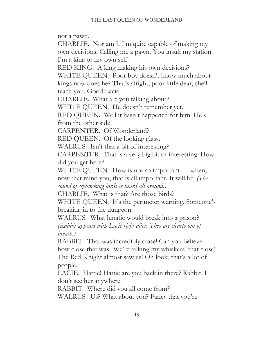not a pawn.

CHARLIE. Nor am I. I'm quite capable of making my own decisions. Calling me a pawn. You insult my station. I'm a king to my own self.

RED KING. A king making his own decisions? WHITE QUEEN. Poor boy doesn't know much about kings now does he? That's alright, poor little dear, she'll teach you. Good Lacie.

CHARLIE. What are you talking about?

WHITE QUEEN. He doesn't remember yet.

RED QUEEN. Well it hasn't happened for him. He's from the other side.

CARPENTER. Of Wonderland?

RED QUEEN. Of the looking glass.

WALRUS. Isn't that a bit of interesting?

CARPENTER. That is a very big bit of interesting. How did you get here?

WHITE QUEEN. How is not so important — when, now that mind you, that is all important. It will be. *(The sound of squawking birds is heard all around.)* 

CHARLIE. What is that? Are those birds?

WHITE QUEEN. It's the perimeter warning. Someone's breaking in to the dungeon.

WALRUS. What lunatic would break into a prison? *(Rabbit appears with Lacie right after. They are clearly out of breath.)* 

RABBIT. That was incredibly close! Can you believe how close that was? We're talking my whiskers, that close! The Red Knight almost saw us! Oh look, that's a lot of people.

LACIE. Hattie! Hattie are you back in there? Rabbit, I don't see her anywhere.

RABBIT. Where did you all come from?

WALRUS. Us? What about you? Fancy that you're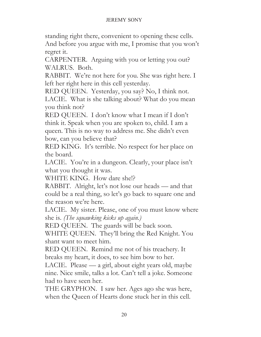standing right there, convenient to opening these cells. And before you argue with me, I promise that you won't regret it.

CARPENTER. Arguing with you or letting you out? WALRUS. Both.

RABBIT. We're not here for you. She was right here. I left her right here in this cell yesterday.

RED QUEEN. Yesterday, you say? No, I think not. LACIE. What is she talking about? What do you mean you think not?

RED QUEEN. I don't know what I mean if I don't think it. Speak when you are spoken to, child. I am a queen. This is no way to address me. She didn't even bow, can you believe that?

RED KING. It's terrible. No respect for her place on the board.

LACIE. You're in a dungeon. Clearly, your place isn't what you thought it was.

WHITE KING. How dare she!?

RABBIT. Alright, let's not lose our heads — and that could be a real thing, so let's go back to square one and the reason we're here.

LACIE. My sister. Please, one of you must know where she is. *(The squawking kicks up again.)*

RED QUEEN. The guards will be back soon.

WHITE QUEEN. They'll bring the Red Knight. You shant want to meet him.

RED QUEEN. Remind me not of his treachery. It breaks my heart, it does, to see him bow to her.

LACIE. Please — a girl, about eight years old, maybe nine. Nice smile, talks a lot. Can't tell a joke. Someone had to have seen her.

THE GRYPHON. I saw her. Ages ago she was here, when the Queen of Hearts done stuck her in this cell.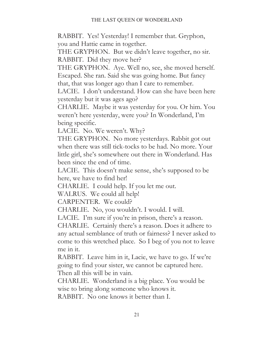RABBIT. Yes! Yesterday! I remember that. Gryphon, you and Hattie came in together.

THE GRYPHON. But we didn't leave together, no sir. RABBIT. Did they move her?

THE GRYPHON. Aye. Well no, see, she moved herself. Escaped. She ran. Said she was going home. But fancy that, that was longer ago than I care to remember.

LACIE. I don't understand. How can she have been here yesterday but it was ages ago?

CHARLIE. Maybe it was yesterday for you. Or him. You weren't here yesterday, were you? In Wonderland, I'm being specific.

LACIE. No. We weren't. Why?

THE GRYPHON. No more yesterdays. Rabbit got out when there was still tick-tocks to be had. No more. Your little girl, she's somewhere out there in Wonderland. Has been since the end of time.

LACIE. This doesn't make sense, she's supposed to be here, we have to find her!

CHARLIE. I could help. If you let me out.

WALRUS. We could all help!

CARPENTER. We could?

CHARLIE. No, you wouldn't. I would. I will.

LACIE. I'm sure if you're in prison, there's a reason.

CHARLIE. Certainly there's a reason. Does it adhere to any actual semblance of truth or fairness? I never asked to come to this wretched place. So I beg of you not to leave me in it.

RABBIT. Leave him in it, Lacie, we have to go. If we're going to find your sister, we cannot be captured here. Then all this will be in vain.

CHARLIE. Wonderland is a big place. You would be wise to bring along someone who knows it.

RABBIT. No one knows it better than I.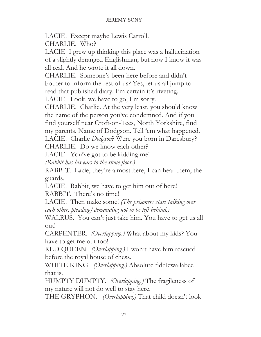LACIE. Except maybe Lewis Carroll.

CHARLIE. Who?

LACIE I grew up thinking this place was a hallucination of a slightly deranged Englishman; but now I know it was all real. And he wrote it all down.

CHARLIE. Someone's been here before and didn't bother to inform the rest of us? Yes, let us all jump to read that published diary. I'm certain it's riveting.

LACIE. Look, we have to go, I'm sorry.

CHARLIE. Charlie. At the very least, you should know the name of the person you've condemned. And if you find yourself near Croft-on-Tees, North Yorkshire, find my parents. Name of Dodgson. Tell 'em what happened. LACIE. Charlie *Dodgson*? Were you born in Daresbury?

CHARLIE. Do we know each other?

LACIE. You've got to be kidding me!

*(Rabbit has his ears to the stone floor.)* 

RABBIT. Lacie, they're almost here, I can hear them, the guards.

LACIE. Rabbit, we have to get him out of here! RABBIT. There's no time!

LACIE. Then make some! *(The prisoners start talking over each other, pleading/demanding not to be left behind.)*

WALRUS. You can't just take him. You have to get us all out!

CARPENTER. *(Overlapping.)* What about my kids? You have to get me out too!

RED QUEEN. *(Overlapping.)* I won't have him rescued before the royal house of chess.

WHITE KING. *(Overlapping.)* Absolute fiddlewallabee that is.

HUMPTY DUMPTY. *(Overlapping.)* The fragileness of my nature will not do well to stay here.

THE GRYPHON. *(Overlapping.)* That child doesn't look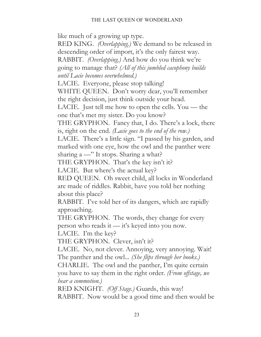like much of a growing up type.

RED KING. *(Overlapping.)* We demand to be released in descending order of import, it's the only fairest way. RABBIT. *(Overlapping.)* And how do you think we're going to manage that? *(All of this jumbled cacophony builds until Lacie becomes overwhelmed.)*

LACIE. Everyone, please stop talking!

WHITE QUEEN. Don't worry dear, you'll remember the right decision, just think outside your head.

LACIE. Just tell me how to open the cells. You — the one that's met my sister. Do you know?

THE GRYPHON. Fancy that, I do. There's a lock, there is, right on the end. *(Lacie goes to the end of the row.)*

LACIE. There's a little sign. "I passed by his garden, and marked with one eye, how the owl and the panther were sharing a —" It stops. Sharing a what?

THE GRYPHON. That's the key isn't it?

LACIE. But where's the actual key?

RED QUEEN. Oh sweet child, all locks in Wonderland are made of riddles. Rabbit, have you told her nothing about this place?

RABBIT. I've told her of its dangers, which are rapidly approaching.

THE GRYPHON. The words, they change for every person who reads it — it's keyed into you now.

LACIE. I'm the key?

THE GRYPHON. Clever, isn't it?

LACIE. No, not clever. Annoying, very annoying. Wait! The panther and the owl... *(She flips through her books.)*

CHARLIE. The owl and the panther, I'm quite certain you have to say them in the right order. *(From offstage, we hear a commotion.)* 

RED KNIGHT. *(Off Stage.)* Guards, this way! RABBIT. Now would be a good time and then would be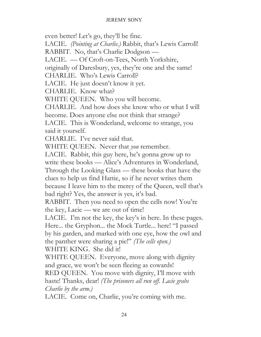even better! Let's go, they'll be fine. LACIE. *(Pointing at Charlie.)* Rabbit, that's Lewis Carroll! RABBIT. No, that's Charlie Dodgson — LACIE. — Of Croft-on-Tees, North Yorkshire, originally of Daresbury, yes, they're one and the same! CHARLIE. Who's Lewis Carroll? LACIE. He just doesn't know it yet. CHARLIE. Know what? WHITE QUEEN. Who you will become. CHARLIE. And how does she know who or what I will become. Does anyone else not think that strange? LACIE. This is Wonderland, welcome to strange, you said it yourself. CHARLIE. I've never said that. WHITE QUEEN. Never that *you* remember. LACIE. Rabbit, this guy here, he's gonna grow up to write these books — Alice's Adventures in Wonderland, Through the Looking Glass — these books that have the clues to help us find Hattie, so if he never writes them because I leave him to the mercy of the Queen, well that's bad right? Yes, the answer is yes, it's bad. RABBIT. Then you need to open the cells now! You're the key, Lacie — we are out of time! LACIE. I'm not the key, the key's in here. In these pages. Here... the Gryphon... the Mock Turtle... here! "I passed by his garden, and marked with one eye, how the owl and the panther were sharing a pie!" *(The cells open.)*  WHITE KING. She did it! WHITE QUEEN. Everyone, move along with dignity and grace, we won't be seen fleeing as cowards! RED QUEEN. You move with dignity, I'll move with haste! Thanks, dear! *(The prisoners all run off. Lacie grabs Charlie by the arm.)* LACIE. Come on, Charlie, you're coming with me.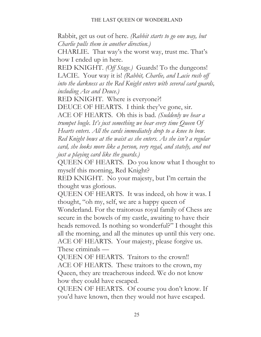Rabbit, get us out of here. *(Rabbit starts to go one way, but Charlie pulls them in another direction.)*

CHARLIE. That way's the worst way, trust me. That's how I ended up in here.

RED KNIGHT. *(Off Stage.)* Guards! To the dungeons! LACIE. Your way it is! *(Rabbit, Charlie, and Lacie rush off into the darkness as the Red Knight enters with several card guards, including Ace and Deuce.)*

RED KNIGHT. Where is everyone?!

DEUCE OF HEARTS. I think they've gone, sir.

ACE OF HEARTS. Oh this is bad. *(Suddenly we hear a trumpet bugle. It's just something we hear every time Queen Of Hearts enters. All the cards immediately drop to a knee to bow. Red Knight bows at the waist as she enters. As she isn't a regular card, she looks more like a person, very regal, and stately, and not just a playing card like the guards.)* 

QUEEN OF HEARTS. Do you know what I thought to myself this morning, Red Knight?

RED KNIGHT. No your majesty, but I'm certain the thought was glorious.

QUEEN OF HEARTS. It was indeed, oh how it was. I thought, "oh my, self, we are a happy queen of

Wonderland. For the traitorous royal family of Chess are secure in the bowels of my castle, awaiting to have their heads removed. Is nothing so wonderful?" I thought this all the morning, and all the minutes up until this very one. ACE OF HEARTS. Your majesty, please forgive us. These criminals —

QUEEN OF HEARTS. Traitors to the crown!! ACE OF HEARTS. These traitors to the crown, my Queen, they are treacherous indeed. We do not know how they could have escaped.

QUEEN OF HEARTS. Of course you don't know. If you'd have known, then they would not have escaped.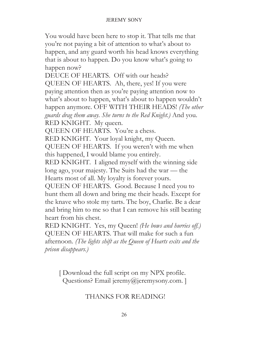You would have been here to stop it. That tells me that you're not paying a bit of attention to what's about to happen, and any guard worth his head knows everything that is about to happen. Do you know what's going to happen now?

DEUCE OF HEARTS. Off with our heads? QUEEN OF HEARTS. Ah, there, yes! If you were paying attention then as you're paying attention now to what's about to happen, what's about to happen wouldn't happen anymore. OFF WITH THEIR HEADS! *(The other guards drag them away. She turns to the Red Knight.)* And you.

RED KNIGHT. My queen.

QUEEN OF HEARTS. You're a chess.

RED KNIGHT. Your loyal knight, my Queen.

QUEEN OF HEARTS. If you weren't with me when this happened, I would blame you entirely.

RED KNIGHT. I aligned myself with the winning side long ago, your majesty. The Suits had the war — the Hearts most of all. My loyalty is forever yours.

QUEEN OF HEARTS. Good. Because I need you to hunt them all down and bring me their heads. Except for the knave who stole my tarts. The boy, Charlie. Be a dear and bring him to me so that I can remove his still beating heart from his chest.

RED KNIGHT. Yes, my Queen! *(He bows and hurries off.)*  QUEEN OF HEARTS. That will make for such a fun afternoon. *(The lights shift as the Queen of Hearts exits and the prison disappears.)* 

 [ Download the full script on my NPX profile. Questions? Email jeremy@jeremysony.com. ]

# THANKS FOR READING!